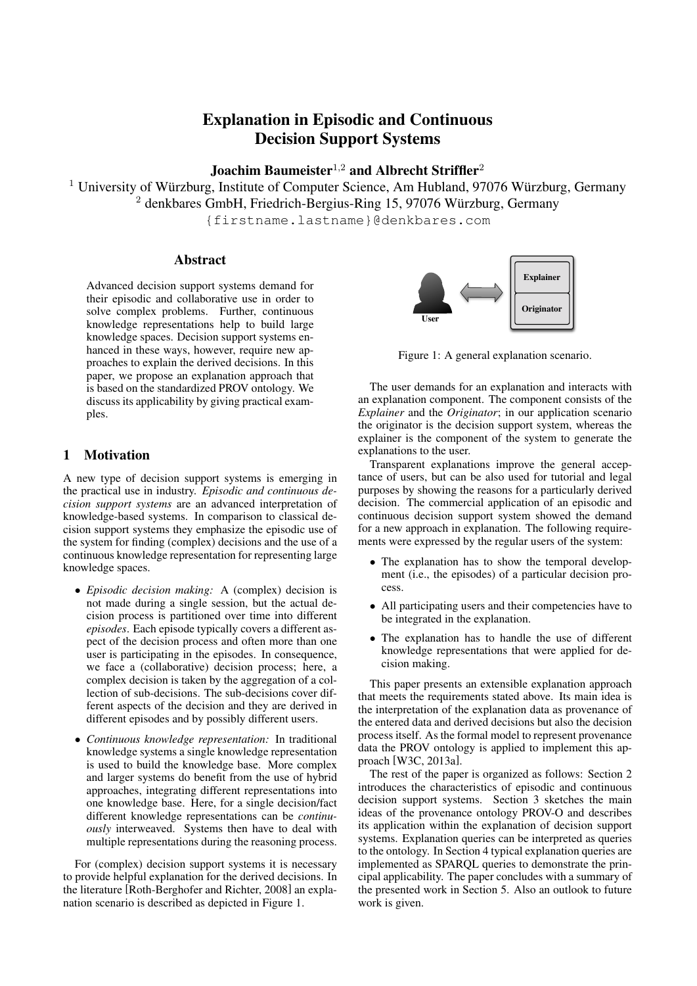# Explanation in Episodic and Continuous Decision Support Systems

# Joachim Baumeister<sup>1,2</sup> and Albrecht Striffler<sup>2</sup>

<sup>1</sup> University of Würzburg, Institute of Computer Science, Am Hubland, 97076 Würzburg, Germany <sup>2</sup> denkbares GmbH, Friedrich-Bergius-Ring 15, 97076 Würzburg, Germany

{firstname.lastname}@denkbares.com

### Abstract

Advanced decision support systems demand for their episodic and collaborative use in order to solve complex problems. Further, continuous knowledge representations help to build large knowledge spaces. Decision support systems enhanced in these ways, however, require new approaches to explain the derived decisions. In this paper, we propose an explanation approach that is based on the standardized PROV ontology. We discuss its applicability by giving practical examples.

## 1 Motivation

A new type of decision support systems is emerging in the practical use in industry. *Episodic and continuous decision support systems* are an advanced interpretation of knowledge-based systems. In comparison to classical decision support systems they emphasize the episodic use of the system for finding (complex) decisions and the use of a continuous knowledge representation for representing large knowledge spaces.

- *Episodic decision making:* A (complex) decision is not made during a single session, but the actual decision process is partitioned over time into different *episodes*. Each episode typically covers a different aspect of the decision process and often more than one user is participating in the episodes. In consequence, we face a (collaborative) decision process; here, a complex decision is taken by the aggregation of a collection of sub-decisions. The sub-decisions cover different aspects of the decision and they are derived in different episodes and by possibly different users.
- *Continuous knowledge representation:* In traditional knowledge systems a single knowledge representation is used to build the knowledge base. More complex and larger systems do benefit from the use of hybrid approaches, integrating different representations into one knowledge base. Here, for a single decision/fact different knowledge representations can be *continuously* interweaved. Systems then have to deal with multiple representations during the reasoning process.

For (complex) decision support systems it is necessary to provide helpful explanation for the derived decisions. In the literature [Roth-Berghofer and Richter, 2008] an explanation scenario is described as depicted in Figure 1.



Figure 1: A general explanation scenario.

The user demands for an explanation and interacts with an explanation component. The component consists of the *Explainer* and the *Originator*; in our application scenario the originator is the decision support system, whereas the explainer is the component of the system to generate the explanations to the user.

Transparent explanations improve the general acceptance of users, but can be also used for tutorial and legal purposes by showing the reasons for a particularly derived decision. The commercial application of an episodic and continuous decision support system showed the demand for a new approach in explanation. The following requirements were expressed by the regular users of the system:

- The explanation has to show the temporal development (i.e., the episodes) of a particular decision process.
- All participating users and their competencies have to be integrated in the explanation.
- The explanation has to handle the use of different knowledge representations that were applied for decision making.

This paper presents an extensible explanation approach that meets the requirements stated above. Its main idea is the interpretation of the explanation data as provenance of the entered data and derived decisions but also the decision process itself. As the formal model to represent provenance data the PROV ontology is applied to implement this approach [W3C, 2013a].

The rest of the paper is organized as follows: Section 2 introduces the characteristics of episodic and continuous decision support systems. Section 3 sketches the main ideas of the provenance ontology PROV-O and describes its application within the explanation of decision support systems. Explanation queries can be interpreted as queries to the ontology. In Section 4 typical explanation queries are implemented as SPARQL queries to demonstrate the principal applicability. The paper concludes with a summary of the presented work in Section 5. Also an outlook to future work is given.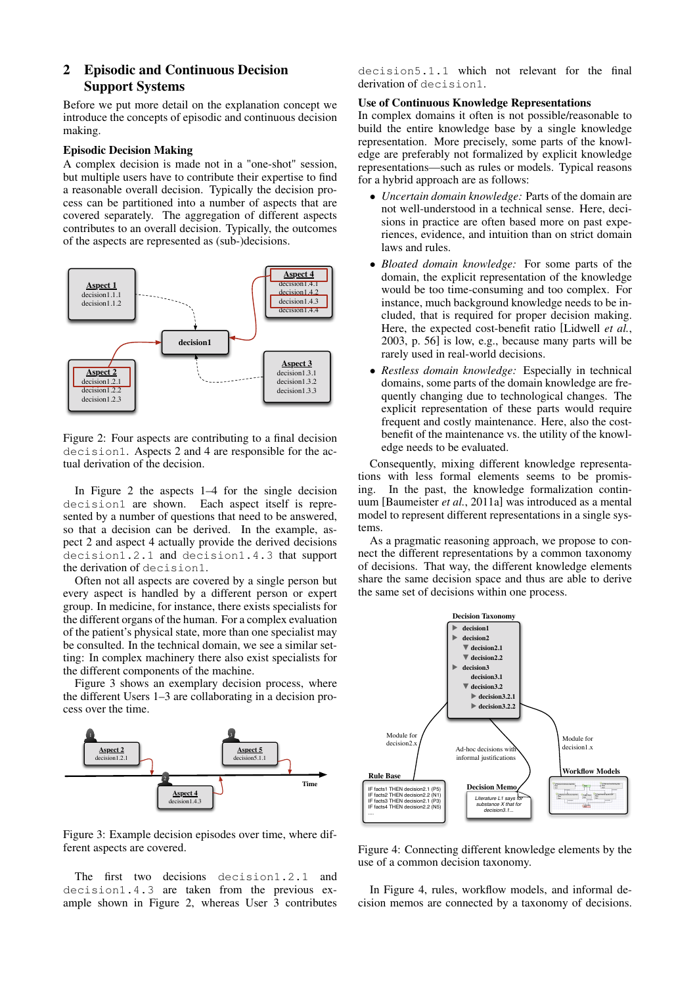## 2 Episodic and Continuous Decision Support Systems

Before we put more detail on the explanation concept we introduce the concepts of episodic and continuous decision making.

### Episodic Decision Making

A complex decision is made not in a "one-shot" session, but multiple users have to contribute their expertise to find a reasonable overall decision. Typically the decision process can be partitioned into a number of aspects that are covered separately. The aggregation of different aspects contributes to an overall decision. Typically, the outcomes of the aspects are represented as (sub-)decisions.



Figure 2: Four aspects are contributing to a final decision decision1. Aspects 2 and 4 are responsible for the actual derivation of the decision.

In Figure 2 the aspects 1–4 for the single decision decision1 are shown. Each aspect itself is represented by a number of questions that need to be answered, so that a decision can be derived. In the example, aspect 2 and aspect 4 actually provide the derived decisions decision1.2.1 and decision1.4.3 that support the derivation of decision1.

Often not all aspects are covered by a single person but every aspect is handled by a different person or expert group. In medicine, for instance, there exists specialists for the different organs of the human. For a complex evaluation of the patient's physical state, more than one specialist may be consulted. In the technical domain, we see a similar setting: In complex machinery there also exist specialists for the different components of the machine.

Figure 3 shows an exemplary decision process, where the different Users 1–3 are collaborating in a decision process over the time.



Figure 3: Example decision episodes over time, where different aspects are covered.

The first two decisions decision1.2.1 and decision1.4.3 are taken from the previous example shown in Figure 2, whereas User 3 contributes decision5.1.1 which not relevant for the final derivation of decision1.

#### Use of Continuous Knowledge Representations

In complex domains it often is not possible/reasonable to build the entire knowledge base by a single knowledge representation. More precisely, some parts of the knowledge are preferably not formalized by explicit knowledge representations—such as rules or models. Typical reasons for a hybrid approach are as follows:

- *Uncertain domain knowledge:* Parts of the domain are not well-understood in a technical sense. Here, decisions in practice are often based more on past experiences, evidence, and intuition than on strict domain laws and rules.
- *Bloated domain knowledge:* For some parts of the domain, the explicit representation of the knowledge would be too time-consuming and too complex. For instance, much background knowledge needs to be included, that is required for proper decision making. Here, the expected cost-benefit ratio [Lidwell *et al.*, 2003, p. 56] is low, e.g., because many parts will be rarely used in real-world decisions.
- *Restless domain knowledge:* Especially in technical domains, some parts of the domain knowledge are frequently changing due to technological changes. The explicit representation of these parts would require frequent and costly maintenance. Here, also the costbenefit of the maintenance vs. the utility of the knowledge needs to be evaluated.

Consequently, mixing different knowledge representations with less formal elements seems to be promising. In the past, the knowledge formalization continuum [Baumeister *et al.*, 2011a] was introduced as a mental model to represent different representations in a single systems.

As a pragmatic reasoning approach, we propose to connect the different representations by a common taxonomy of decisions. That way, the different knowledge elements share the same decision space and thus are able to derive the same set of decisions within one process.



Figure 4: Connecting different knowledge elements by the use of a common decision taxonomy.

In Figure 4, rules, workflow models, and informal decision memos are connected by a taxonomy of decisions.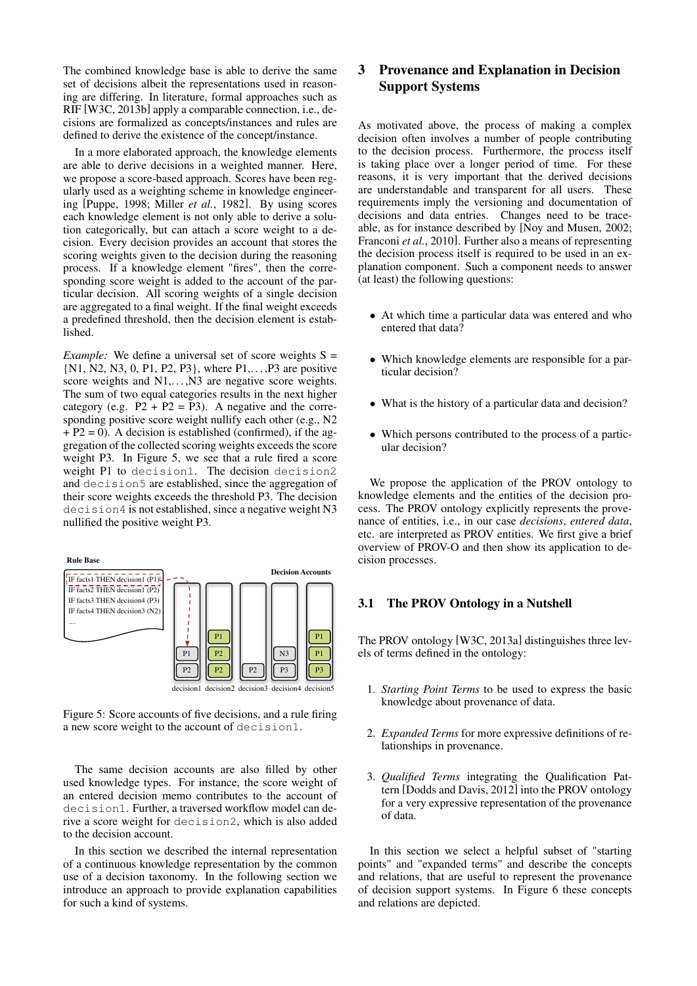The combined knowledge base is able to derive the same set of decisions albeit the representations used in reasoning are differing. In literature, formal approaches such as RIF [W3C, 2013b] apply a comparable connection, i.e., decisions are formalized as concepts/instances and rules are defined to derive the existence of the concept/instance.

In a more elaborated approach, the knowledge elements are able to derive decisions in a weighted manner. Here, we propose a score-based approach. Scores have been regularly used as a weighting scheme in knowledge engineering [Puppe, 1998; Miller *et al.*, 1982]. By using scores each knowledge element is not only able to derive a solution categorically, but can attach a score weight to a decision. Every decision provides an account that stores the scoring weights given to the decision during the reasoning process. If a knowledge element "fires", then the corresponding score weight is added to the account of the particular decision. All scoring weights of a single decision are aggregated to a final weight. If the final weight exceeds a predefined threshold, then the decision element is established.

*Example:* We define a universal set of score weights S = {N1, N2, N3, 0, P1, P2, P3}, where P1,. . . ,P3 are positive score weights and N1,..., N3 are negative score weights. The sum of two equal categories results in the next higher category (e.g.  $P2 + P2 = P3$ ). A negative and the corresponding positive score weight nullify each other (e.g., N2  $+ P2 = 0$ ). A decision is established (confirmed), if the aggregation of the collected scoring weights exceeds the score weight P3. In Figure 5, we see that a rule fired a score weight P1 to decision1. The decision decision2 and decision5 are established, since the aggregation of their score weights exceeds the threshold P3. The decision decision4 is not established, since a negative weight N3 nullified the positive weight P3.

P1  $\overline{P}$ P1 N3 **Rule Base** IF facts1 THEN decision1  $(PI)$ IF facts $2$  THEN decision1 (P2) IF facts3 THEN decision4 (P3) IF facts4 THEN decision3 (N2) .... **Decision Accounts**

P2

decision1

Figure 5: Score accounts of five decisions, and a rule firing a new score weight to the account of decision1.

P2

P2

decision3 decision4

P3

P3 P1 P1

decision5

decision<sup>2</sup>

The same decision accounts are also filled by other used knowledge types. For instance, the score weight of an entered decision memo contributes to the account of decision1. Further, a traversed workflow model can derive a score weight for decision2, which is also added to the decision account.

In this section we described the internal representation of a continuous knowledge representation by the common use of a decision taxonomy. In the following section we introduce an approach to provide explanation capabilities for such a kind of systems.

# 3 Provenance and Explanation in Decision Support Systems

As motivated above, the process of making a complex decision often involves a number of people contributing to the decision process. Furthermore, the process itself is taking place over a longer period of time. For these reasons, it is very important that the derived decisions are understandable and transparent for all users. These requirements imply the versioning and documentation of decisions and data entries. Changes need to be traceable, as for instance described by [Noy and Musen, 2002; Franconi *et al.*, 2010]. Further also a means of representing the decision process itself is required to be used in an explanation component. Such a component needs to answer (at least) the following questions:

- At which time a particular data was entered and who entered that data?
- Which knowledge elements are responsible for a particular decision?
- What is the history of a particular data and decision?
- Which persons contributed to the process of a particular decision?

We propose the application of the PROV ontology to knowledge elements and the entities of the decision process. The PROV ontology explicitly represents the provenance of entities, i.e., in our case *decisions*, *entered data*, etc. are interpreted as PROV entities. We first give a brief overview of PROV-O and then show its application to decision processes.

## 3.1 The PROV Ontology in a Nutshell

The PROV ontology [W3C, 2013a] distinguishes three levels of terms defined in the ontology:

- 1. *Starting Point Terms* to be used to express the basic knowledge about provenance of data.
- 2. *Expanded Terms* for more expressive definitions of relationships in provenance.
- 3. *Qualified Terms* integrating the Qualification Pattern [Dodds and Davis, 2012] into the PROV ontology for a very expressive representation of the provenance of data.

In this section we select a helpful subset of "starting points" and "expanded terms" and describe the concepts and relations, that are useful to represent the provenance of decision support systems. In Figure 6 these concepts and relations are depicted.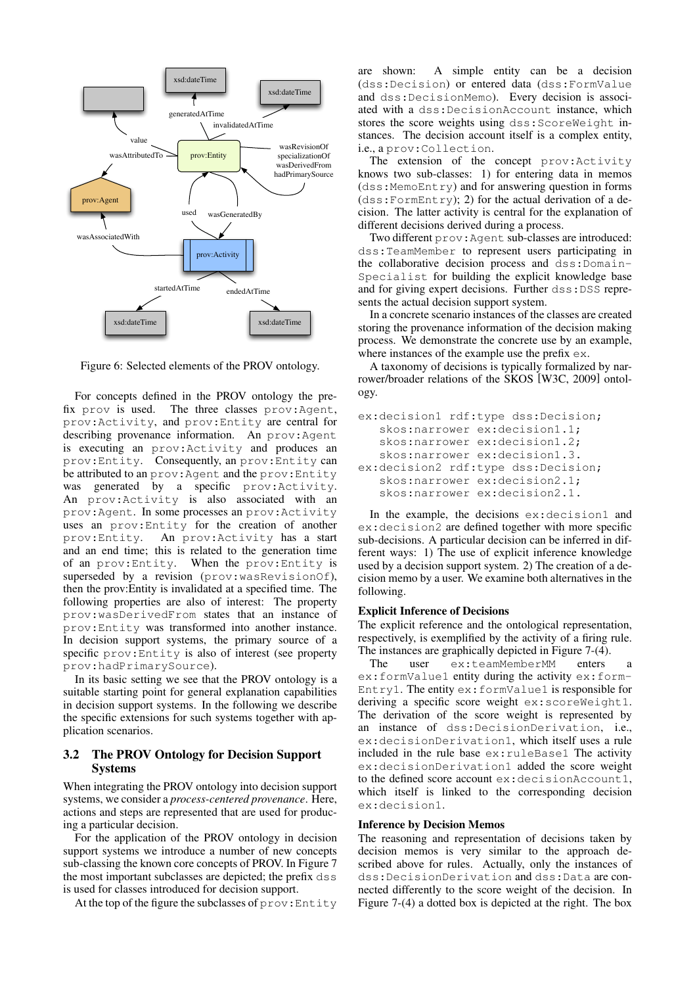

Figure 6: Selected elements of the PROV ontology.

For concepts defined in the PROV ontology the prefix prov is used. The three classes prov:Agent, prov:Activity, and prov:Entity are central for describing provenance information. An prov:Agent is executing an prov:Activity and produces an prov:Entity. Consequently, an prov:Entity can be attributed to an prov:Agent and the prov:Entity was generated by a specific prov:Activity. An prov:Activity is also associated with an prov:Agent. In some processes an prov:Activity uses an prov:Entity for the creation of another prov:Entity. An prov:Activity has a start and an end time; this is related to the generation time of an prov:Entity. When the prov:Entity is superseded by a revision (prov:wasRevisionOf), then the prov:Entity is invalidated at a specified time. The following properties are also of interest: The property prov:wasDerivedFrom states that an instance of prov:Entity was transformed into another instance. In decision support systems, the primary source of a specific prov:Entity is also of interest (see property prov:hadPrimarySource).

In its basic setting we see that the PROV ontology is a suitable starting point for general explanation capabilities in decision support systems. In the following we describe the specific extensions for such systems together with application scenarios.

## 3.2 The PROV Ontology for Decision Support Systems

When integrating the PROV ontology into decision support systems, we consider a *process-centered provenance*. Here, actions and steps are represented that are used for producing a particular decision.

For the application of the PROV ontology in decision support systems we introduce a number of new concepts sub-classing the known core concepts of PROV. In Figure 7 the most important subclasses are depicted; the prefix dss is used for classes introduced for decision support.

At the top of the figure the subclasses of prov:Entity

are shown: A simple entity can be a decision (dss:Decision) or entered data (dss:FormValue and dss:DecisionMemo). Every decision is associated with a dss:DecisionAccount instance, which stores the score weights using dss:ScoreWeight instances. The decision account itself is a complex entity, i.e., a prov:Collection.

The extension of the concept prov:Activity knows two sub-classes: 1) for entering data in memos (dss:MemoEntry) and for answering question in forms  $(dss:FormEntropy);$  2) for the actual derivation of a decision. The latter activity is central for the explanation of different decisions derived during a process.

Two different prov:Agent sub-classes are introduced: dss:TeamMember to represent users participating in the collaborative decision process and dss:Domain-Specialist for building the explicit knowledge base and for giving expert decisions. Further dss:DSS represents the actual decision support system.

In a concrete scenario instances of the classes are created storing the provenance information of the decision making process. We demonstrate the concrete use by an example, where instances of the example use the prefix  $ex$ .

A taxonomy of decisions is typically formalized by narrower/broader relations of the SKOS [W3C, 2009] ontology.

```
ex:decision1 rdf:type dss:Decision;
   skos:narrower ex:decision1.1;
   skos:narrower ex:decision1.2;
   skos:narrower ex:decision1.3.
ex:decision2 rdf:type dss:Decision;
  skos:narrower ex:decision2.1;
   skos:narrower ex:decision2.1.
```
In the example, the decisions ex:decision1 and ex:decision2 are defined together with more specific sub-decisions. A particular decision can be inferred in different ways: 1) The use of explicit inference knowledge used by a decision support system. 2) The creation of a decision memo by a user. We examine both alternatives in the following.

#### Explicit Inference of Decisions

The explicit reference and the ontological representation, respectively, is exemplified by the activity of a firing rule. The instances are graphically depicted in Figure 7-(4).

The user ex:teamMemberMM enters a ex:formValue1 entity during the activity ex:form-Entry1. The entity ex:formValue1 is responsible for deriving a specific score weight ex:scoreWeight1. The derivation of the score weight is represented by an instance of dss:DecisionDerivation, i.e., ex:decisionDerivation1, which itself uses a rule included in the rule base ex:ruleBase1 The activity ex:decisionDerivation1 added the score weight to the defined score account ex:decisionAccount1, which itself is linked to the corresponding decision ex:decision1.

#### Inference by Decision Memos

The reasoning and representation of decisions taken by decision memos is very similar to the approach described above for rules. Actually, only the instances of dss:DecisionDerivation and dss:Data are connected differently to the score weight of the decision. In Figure 7-(4) a dotted box is depicted at the right. The box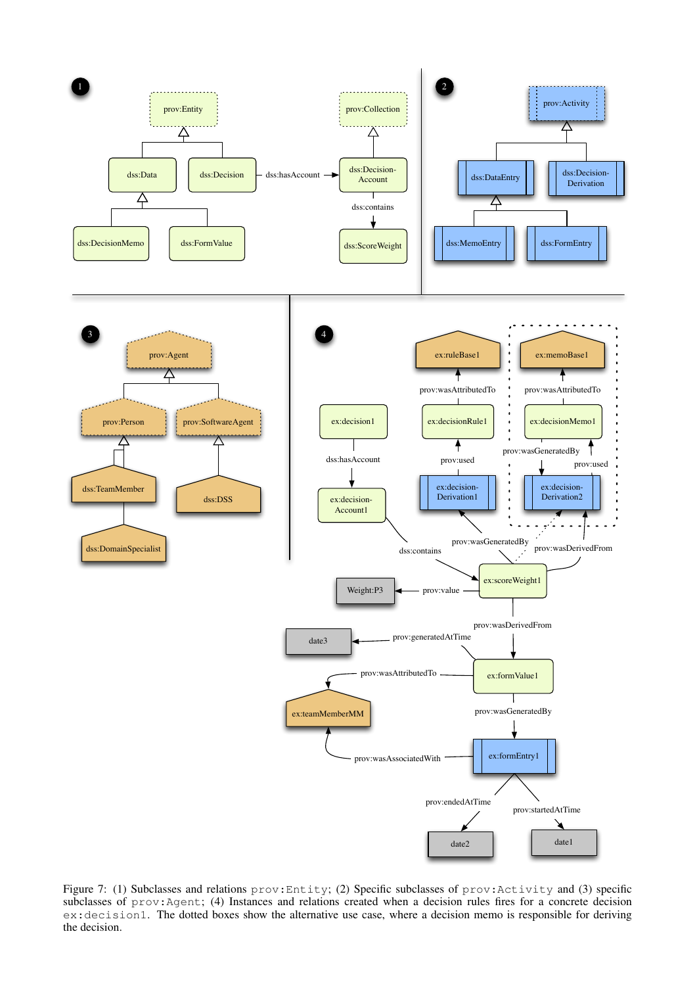

Figure 7: (1) Subclasses and relations prov:Entity; (2) Specific subclasses of prov:Activity and (3) specific subclasses of prov:Agent; (4) Instances and relations created when a decision rules fires for a concrete decision ex:decision1. The dotted boxes show the alternative use case, where a decision memo is responsible for deriving the decision.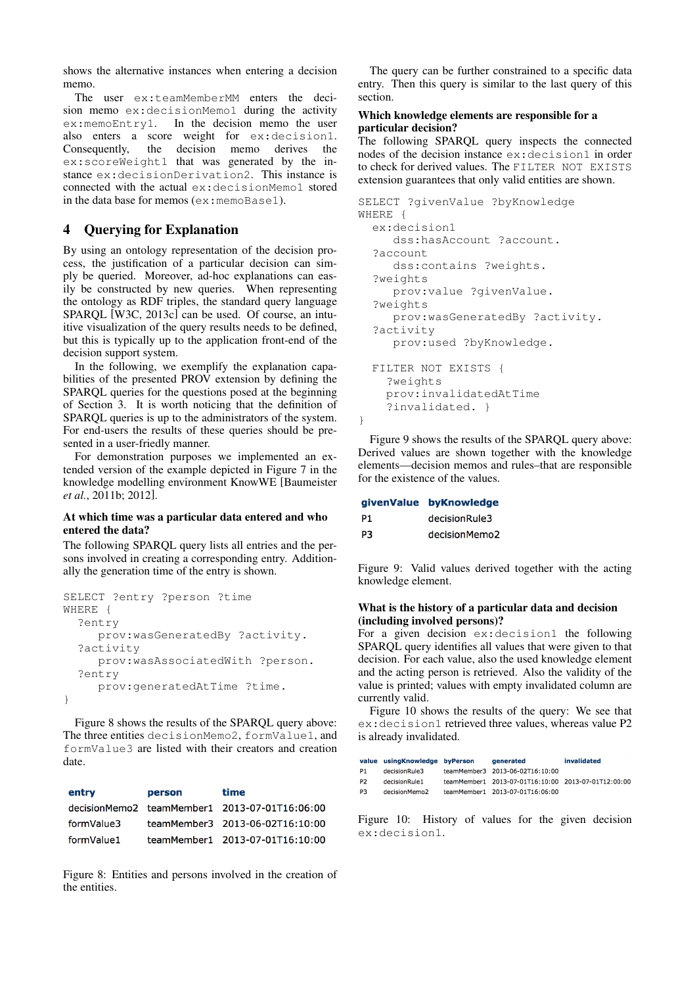shows the alternative instances when entering a decision memo.

The user ex:teamMemberMM enters the decision memo ex:decisionMemo1 during the activity ex:memoEntry1. In the decision memo the user also enters a score weight for ex:decision1. Consequently, the decision memo derives the ex:scoreWeight1 that was generated by the instance ex:decisionDerivation2. This instance is connected with the actual ex:decisionMemo1 stored in the data base for memos (ex:memoBase1).

## 4 Querying for Explanation

By using an ontology representation of the decision process, the justification of a particular decision can simply be queried. Moreover, ad-hoc explanations can easily be constructed by new queries. When representing the ontology as RDF triples, the standard query language SPARQL [W3C, 2013c] can be used. Of course, an intuitive visualization of the query results needs to be defined, but this is typically up to the application front-end of the decision support system.

In the following, we exemplify the explanation capabilities of the presented PROV extension by defining the SPARQL queries for the questions posed at the beginning of Section 3. It is worth noticing that the definition of SPARQL queries is up to the administrators of the system. For end-users the results of these queries should be presented in a user-friedly manner.

For demonstration purposes we implemented an extended version of the example depicted in Figure 7 in the knowledge modelling environment KnowWE [Baumeister *et al.*, 2011b; 2012].

### At which time was a particular data entered and who entered the data?

The following SPARQL query lists all entries and the persons involved in creating a corresponding entry. Additionally the generation time of the entry is shown.

```
SELECT ?entry ?person ?time
WHERE {
  ?entry
     prov:wasGeneratedBy ?activity.
  ?activity
     prov:wasAssociatedWith ?person.
  ?entry
     prov:generatedAtTime ?time.
}
```
Figure 8 shows the results of the SPARQL query above: The three entities decisionMemo2, formValue1, and formValue3 are listed with their creators and creation date.

| entry      | person | time                                          |
|------------|--------|-----------------------------------------------|
|            |        | decisionMemo2 teamMember1 2013-07-01T16:06:00 |
| formValue3 |        | teamMember3 2013-06-02T16:10:00               |
| formValue1 |        | teamMember1 2013-07-01T16:10:00               |

Figure 8: Entities and persons involved in the creation of the entities.

The query can be further constrained to a specific data entry. Then this query is similar to the last query of this section.

### Which knowledge elements are responsible for a particular decision?

The following SPARQL query inspects the connected nodes of the decision instance ex:decision1 in order to check for derived values. The FILTER NOT EXISTS extension guarantees that only valid entities are shown.

```
SELECT ?givenValue ?byKnowledge
WHERE {
  ex:decision1
     dss:hasAccount ?account.
  ?account
     dss:contains ?weights.
  ?weights
    prov:value ?givenValue.
  ?weights
     prov:wasGeneratedBy ?activity.
  ?activity
     prov:used ?byKnowledge.
  FILTER NOT EXISTS {
    ?weights
    prov:invalidatedAtTime
    ?invalidated. }
}
```
Figure 9 shows the results of the SPARQL query above: Derived values are shown together with the knowledge elements—decision memos and rules–that are responsible for the existence of the values.

|    | givenValue byKnowledge |  |
|----|------------------------|--|
| P1 | decisionRule3          |  |
| P3 | decisionMemo2          |  |

Figure 9: Valid values derived together with the acting knowledge element.

## What is the history of a particular data and decision (including involved persons)?

For a given decision ex:decision1 the following SPARQL query identifies all values that were given to that decision. For each value, also the used knowledge element and the acting person is retrieved. Also the validity of the value is printed; values with empty invalidated column are currently valid.

Figure 10 shows the results of the query: We see that ex:decision1 retrieved three values, whereas value P2 is already invalidated.

|                | value usingKnowledge byPerson | generated                                           | invalidated |
|----------------|-------------------------------|-----------------------------------------------------|-------------|
| P1.            | decisionRule3                 | teamMember3 2013-06-02T16:10:00                     |             |
| P <sub>2</sub> | decisionRule1                 | teamMember1 2013-07-01T16:10:00 2013-07-01T12:00:00 |             |
| P3             | decisionMemo2                 | teamMember1 2013-07-01T16:06:00                     |             |
|                |                               |                                                     |             |

Figure 10: History of values for the given decision ex:decision1.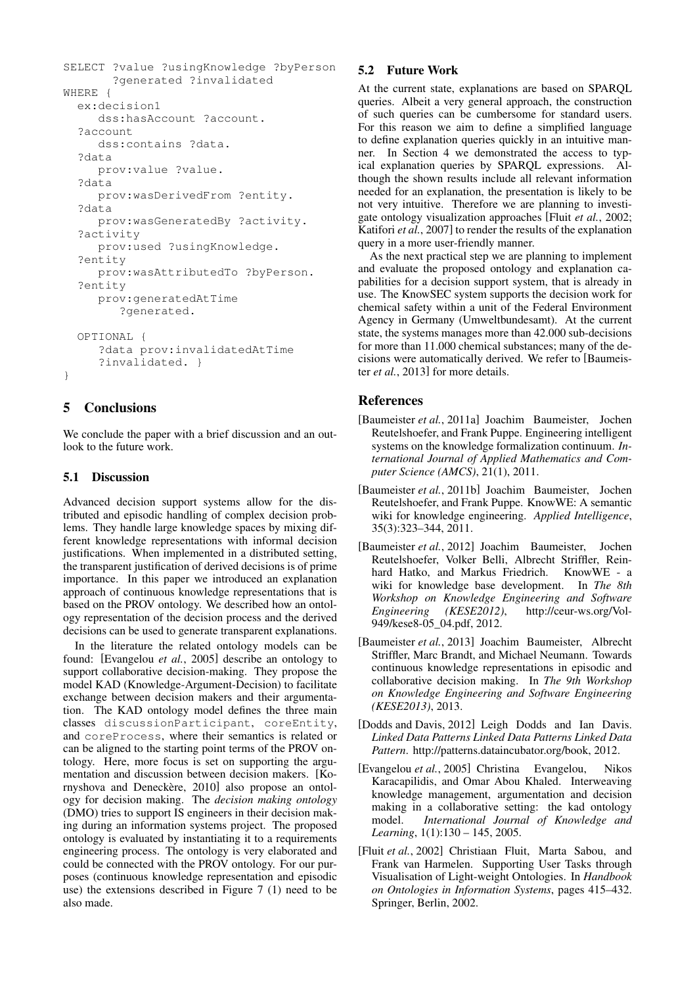```
SELECT ?value ?usingKnowledge ?byPerson
       ?generated ?invalidated
WHERE {
  ex:decision1
     dss:hasAccount ?account.
  ?account
     dss:contains ?data.
  ?data
     prov:value ?value.
  ?data
     prov:wasDerivedFrom ?entity.
  ?data
     prov:wasGeneratedBy ?activity.
  ?activity
     prov:used ?usingKnowledge.
  ?entity
     prov:wasAttributedTo ?byPerson.
  ?entity
     prov:generatedAtTime
        ?generated.
  OPTIONAL {
     ?data prov:invalidatedAtTime
     ?invalidated. }
}
```
## 5 Conclusions

We conclude the paper with a brief discussion and an outlook to the future work.

## 5.1 Discussion

Advanced decision support systems allow for the distributed and episodic handling of complex decision problems. They handle large knowledge spaces by mixing different knowledge representations with informal decision justifications. When implemented in a distributed setting, the transparent justification of derived decisions is of prime importance. In this paper we introduced an explanation approach of continuous knowledge representations that is based on the PROV ontology. We described how an ontology representation of the decision process and the derived decisions can be used to generate transparent explanations.

In the literature the related ontology models can be found: [Evangelou *et al.*, 2005] describe an ontology to support collaborative decision-making. They propose the model KAD (Knowledge-Argument-Decision) to facilitate exchange between decision makers and their argumentation. The KAD ontology model defines the three main classes discussionParticipant, coreEntity, and coreProcess, where their semantics is related or can be aligned to the starting point terms of the PROV ontology. Here, more focus is set on supporting the argumentation and discussion between decision makers. [Kornyshova and Deneckère, 2010] also propose an ontology for decision making. The *decision making ontology* (DMO) tries to support IS engineers in their decision making during an information systems project. The proposed ontology is evaluated by instantiating it to a requirements engineering process. The ontology is very elaborated and could be connected with the PROV ontology. For our purposes (continuous knowledge representation and episodic use) the extensions described in Figure 7 (1) need to be also made.

## 5.2 Future Work

At the current state, explanations are based on SPARQL queries. Albeit a very general approach, the construction of such queries can be cumbersome for standard users. For this reason we aim to define a simplified language to define explanation queries quickly in an intuitive manner. In Section 4 we demonstrated the access to typical explanation queries by SPARQL expressions. Although the shown results include all relevant information needed for an explanation, the presentation is likely to be not very intuitive. Therefore we are planning to investigate ontology visualization approaches [Fluit *et al.*, 2002; Katifori *et al.*, 2007] to render the results of the explanation query in a more user-friendly manner.

As the next practical step we are planning to implement and evaluate the proposed ontology and explanation capabilities for a decision support system, that is already in use. The KnowSEC system supports the decision work for chemical safety within a unit of the Federal Environment Agency in Germany (Umweltbundesamt). At the current state, the systems manages more than 42.000 sub-decisions for more than 11.000 chemical substances; many of the decisions were automatically derived. We refer to [Baumeister *et al.*, 2013] for more details.

## References

- [Baumeister *et al.*, 2011a] Joachim Baumeister, Jochen Reutelshoefer, and Frank Puppe. Engineering intelligent systems on the knowledge formalization continuum. *International Journal of Applied Mathematics and Computer Science (AMCS)*, 21(1), 2011.
- [Baumeister *et al.*, 2011b] Joachim Baumeister, Jochen Reutelshoefer, and Frank Puppe. KnowWE: A semantic wiki for knowledge engineering. *Applied Intelligence*, 35(3):323–344, 2011.
- [Baumeister *et al.*, 2012] Joachim Baumeister, Jochen Reutelshoefer, Volker Belli, Albrecht Striffler, Reinhard Hatko, and Markus Friedrich. KnowWE - a wiki for knowledge base development. In *The 8th Workshop on Knowledge Engineering and Software Engineering (KESE2012)*, http://ceur-ws.org/Vol-949/kese8-05\_04.pdf, 2012.
- [Baumeister *et al.*, 2013] Joachim Baumeister, Albrecht Striffler, Marc Brandt, and Michael Neumann. Towards continuous knowledge representations in episodic and collaborative decision making. In *The 9th Workshop on Knowledge Engineering and Software Engineering (KESE2013)*, 2013.
- [Dodds and Davis, 2012] Leigh Dodds and Ian Davis. *Linked Data Patterns Linked Data Patterns Linked Data Pattern*. http://patterns.dataincubator.org/book, 2012.
- [Evangelou *et al.*, 2005] Christina Evangelou, Nikos Karacapilidis, and Omar Abou Khaled. Interweaving knowledge management, argumentation and decision making in a collaborative setting: the kad ontology model. *International Journal of Knowledge and Learning*, 1(1):130 – 145, 2005.
- [Fluit *et al.*, 2002] Christiaan Fluit, Marta Sabou, and Frank van Harmelen. Supporting User Tasks through Visualisation of Light-weight Ontologies. In *Handbook on Ontologies in Information Systems*, pages 415–432. Springer, Berlin, 2002.